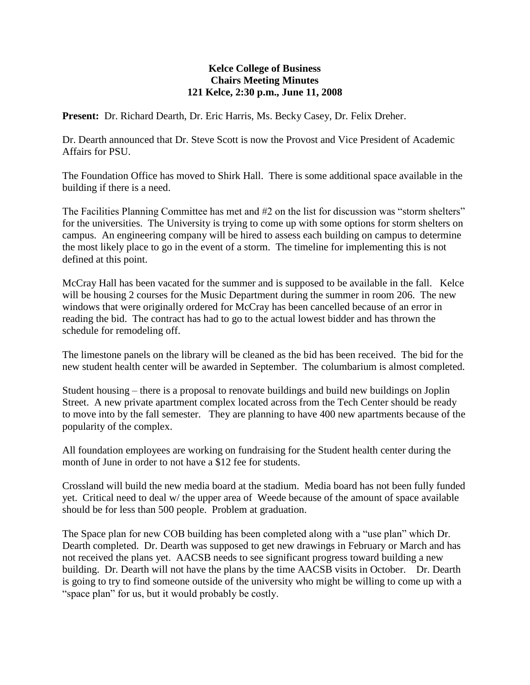## **Kelce College of Business Chairs Meeting Minutes 121 Kelce, 2:30 p.m., June 11, 2008**

**Present:** Dr. Richard Dearth, Dr. Eric Harris, Ms. Becky Casey, Dr. Felix Dreher.

Dr. Dearth announced that Dr. Steve Scott is now the Provost and Vice President of Academic Affairs for PSU.

The Foundation Office has moved to Shirk Hall. There is some additional space available in the building if there is a need.

The Facilities Planning Committee has met and #2 on the list for discussion was "storm shelters" for the universities. The University is trying to come up with some options for storm shelters on campus. An engineering company will be hired to assess each building on campus to determine the most likely place to go in the event of a storm. The timeline for implementing this is not defined at this point.

McCray Hall has been vacated for the summer and is supposed to be available in the fall. Kelce will be housing 2 courses for the Music Department during the summer in room 206. The new windows that were originally ordered for McCray has been cancelled because of an error in reading the bid. The contract has had to go to the actual lowest bidder and has thrown the schedule for remodeling off.

The limestone panels on the library will be cleaned as the bid has been received. The bid for the new student health center will be awarded in September. The columbarium is almost completed.

Student housing – there is a proposal to renovate buildings and build new buildings on Joplin Street. A new private apartment complex located across from the Tech Center should be ready to move into by the fall semester. They are planning to have 400 new apartments because of the popularity of the complex.

All foundation employees are working on fundraising for the Student health center during the month of June in order to not have a \$12 fee for students.

Crossland will build the new media board at the stadium. Media board has not been fully funded yet. Critical need to deal w/ the upper area of Weede because of the amount of space available should be for less than 500 people. Problem at graduation.

The Space plan for new COB building has been completed along with a "use plan" which Dr. Dearth completed. Dr. Dearth was supposed to get new drawings in February or March and has not received the plans yet. AACSB needs to see significant progress toward building a new building. Dr. Dearth will not have the plans by the time AACSB visits in October. Dr. Dearth is going to try to find someone outside of the university who might be willing to come up with a "space plan" for us, but it would probably be costly.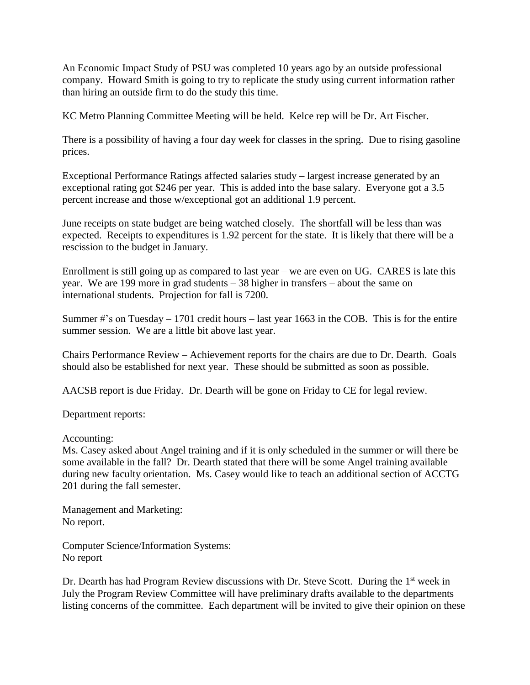An Economic Impact Study of PSU was completed 10 years ago by an outside professional company. Howard Smith is going to try to replicate the study using current information rather than hiring an outside firm to do the study this time.

KC Metro Planning Committee Meeting will be held. Kelce rep will be Dr. Art Fischer.

There is a possibility of having a four day week for classes in the spring. Due to rising gasoline prices.

Exceptional Performance Ratings affected salaries study – largest increase generated by an exceptional rating got \$246 per year. This is added into the base salary. Everyone got a 3.5 percent increase and those w/exceptional got an additional 1.9 percent.

June receipts on state budget are being watched closely. The shortfall will be less than was expected. Receipts to expenditures is 1.92 percent for the state. It is likely that there will be a rescission to the budget in January.

Enrollment is still going up as compared to last year – we are even on UG. CARES is late this year. We are 199 more in grad students – 38 higher in transfers – about the same on international students. Projection for fall is 7200.

Summer  $\#$ 's on Tuesday – 1701 credit hours – last year 1663 in the COB. This is for the entire summer session. We are a little bit above last year.

Chairs Performance Review – Achievement reports for the chairs are due to Dr. Dearth. Goals should also be established for next year. These should be submitted as soon as possible.

AACSB report is due Friday. Dr. Dearth will be gone on Friday to CE for legal review.

Department reports:

Accounting:

Ms. Casey asked about Angel training and if it is only scheduled in the summer or will there be some available in the fall? Dr. Dearth stated that there will be some Angel training available during new faculty orientation. Ms. Casey would like to teach an additional section of ACCTG 201 during the fall semester.

Management and Marketing: No report.

Computer Science/Information Systems: No report

Dr. Dearth has had Program Review discussions with Dr. Steve Scott. During the 1<sup>st</sup> week in July the Program Review Committee will have preliminary drafts available to the departments listing concerns of the committee. Each department will be invited to give their opinion on these